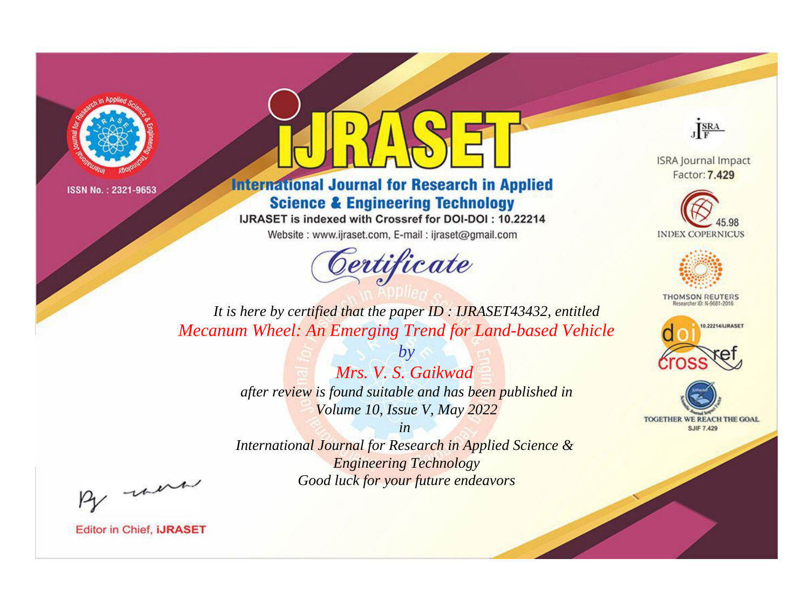



**International Journal for Research in Applied Science & Engineering Technology** 

IJRASET is indexed with Crossref for DOI-DOI: 10.22214

Website: www.ijraset.com, E-mail: ijraset@gmail.com



JERA

**ISRA Journal Impact** Factor: 7.429





**THOMSON REUTERS** 



TOGETHER WE REACH THE GOAL **SJIF 7.429** 

*It is here by certified that the paper ID : IJRASET43432, entitled Mecanum Wheel: An Emerging Trend for Land-based Vehicle*

> *Mrs. V. S. Gaikwad after review is found suitable and has been published in Volume 10, Issue V, May 2022*

*by*

*in* 

*International Journal for Research in Applied Science & Engineering Technology Good luck for your future endeavors*

By morn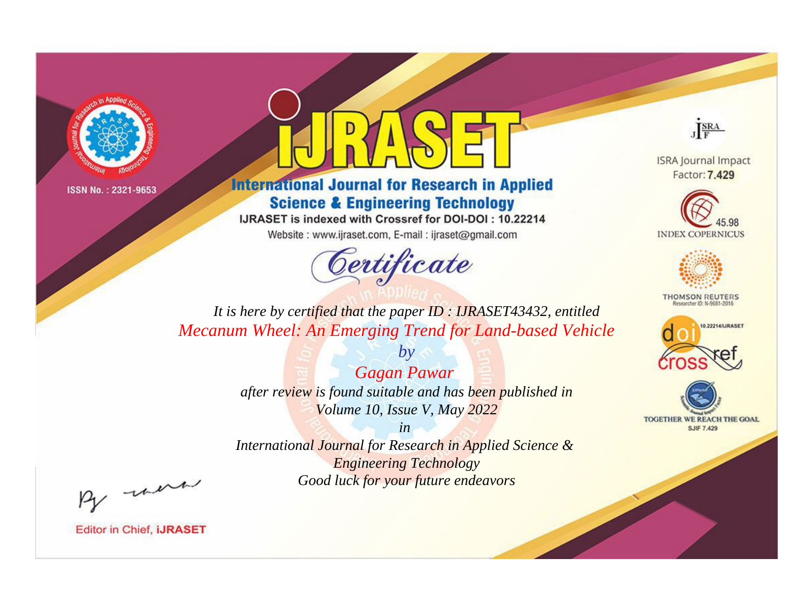



**International Journal for Research in Applied Science & Engineering Technology** 

IJRASET is indexed with Crossref for DOI-DOI: 10.22214

Website: www.ijraset.com, E-mail: ijraset@gmail.com



JERA

**ISRA Journal Impact** Factor: 7.429





**THOMSON REUTERS** 



TOGETHER WE REACH THE GOAL **SJIF 7.429** 

*It is here by certified that the paper ID : IJRASET43432, entitled Mecanum Wheel: An Emerging Trend for Land-based Vehicle*

> *Gagan Pawar after review is found suitable and has been published in Volume 10, Issue V, May 2022*

*by*

*in International Journal for Research in Applied Science &* 

*Engineering Technology Good luck for your future endeavors*

By morn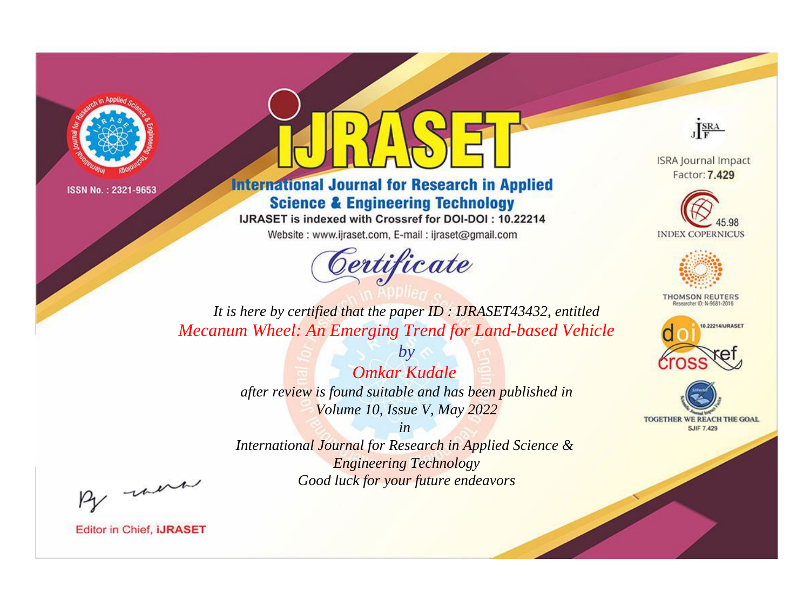



**International Journal for Research in Applied Science & Engineering Technology** 

IJRASET is indexed with Crossref for DOI-DOI: 10.22214

Website: www.ijraset.com, E-mail: ijraset@gmail.com



JERA

**ISRA Journal Impact** Factor: 7.429





**THOMSON REUTERS** 



TOGETHER WE REACH THE GOAL **SJIF 7.429** 

*It is here by certified that the paper ID : IJRASET43432, entitled Mecanum Wheel: An Emerging Trend for Land-based Vehicle*

> *Omkar Kudale after review is found suitable and has been published in Volume 10, Issue V, May 2022*

*by*

*in* 

*International Journal for Research in Applied Science & Engineering Technology Good luck for your future endeavors*

By morn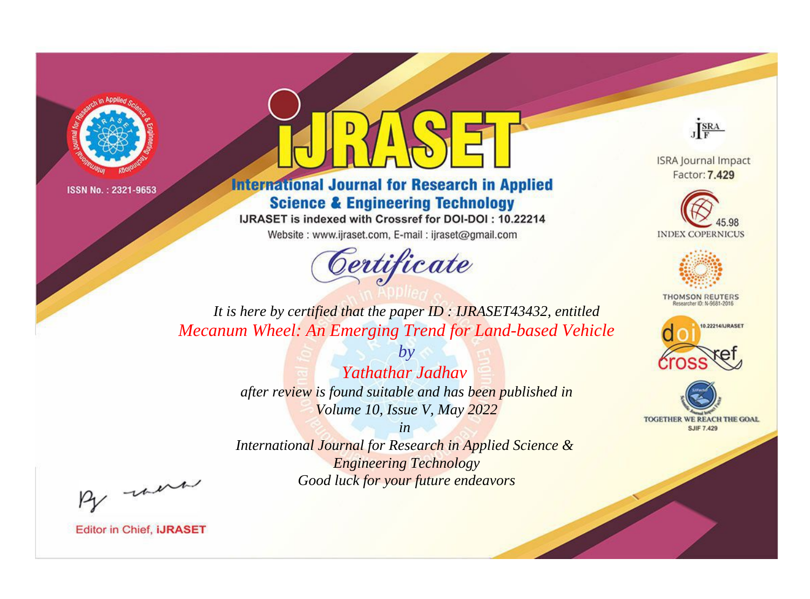



**International Journal for Research in Applied Science & Engineering Technology** 

IJRASET is indexed with Crossref for DOI-DOI: 10.22214

Website: www.ijraset.com, E-mail: ijraset@gmail.com



JERA

**ISRA Journal Impact** Factor: 7.429





**THOMSON REUTERS** 



TOGETHER WE REACH THE GOAL **SJIF 7.429** 

*It is here by certified that the paper ID : IJRASET43432, entitled Mecanum Wheel: An Emerging Trend for Land-based Vehicle*

> *by Yathathar Jadhav after review is found suitable and has been published in Volume 10, Issue V, May 2022*

> > *in*

*International Journal for Research in Applied Science & Engineering Technology Good luck for your future endeavors*

By morn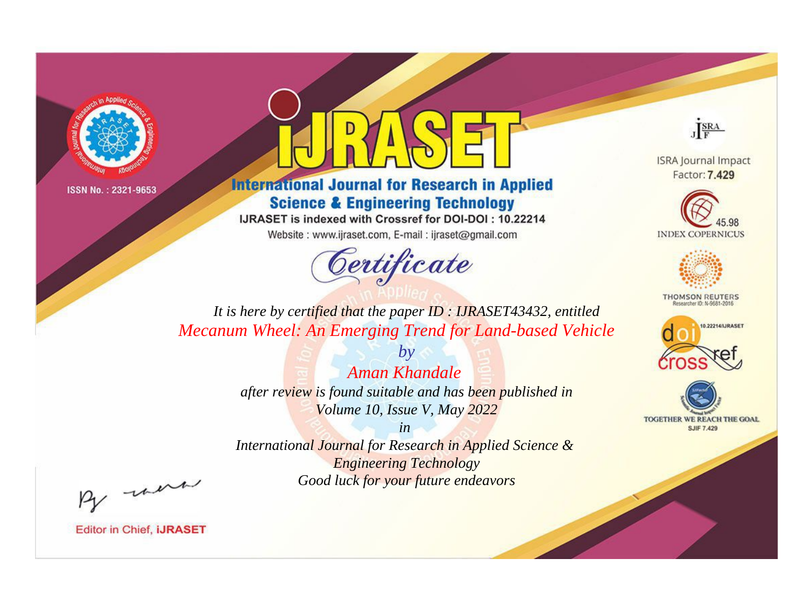



**International Journal for Research in Applied Science & Engineering Technology** 

IJRASET is indexed with Crossref for DOI-DOI: 10.22214

Website: www.ijraset.com, E-mail: ijraset@gmail.com



JERA

**ISRA Journal Impact** Factor: 7.429





**THOMSON REUTERS** 



TOGETHER WE REACH THE GOAL **SJIF 7.429** 

*It is here by certified that the paper ID : IJRASET43432, entitled Mecanum Wheel: An Emerging Trend for Land-based Vehicle*

> *Aman Khandale after review is found suitable and has been published in Volume 10, Issue V, May 2022*

*by*

*in* 

*International Journal for Research in Applied Science & Engineering Technology Good luck for your future endeavors*

By morn